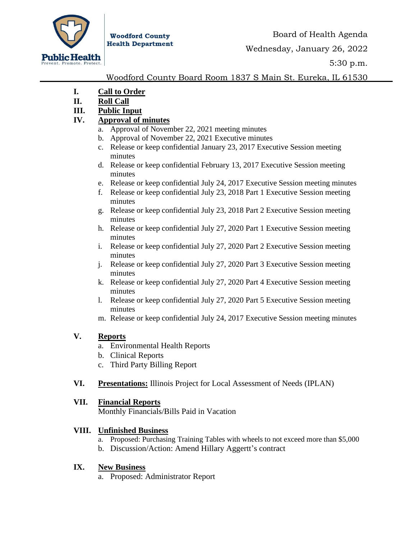

**Woodford County Health Department** 

5:30 p.m.

## Woodford County Board Room 1837 S Main St. Eureka, IL 61530

- **I. Call to Order**
- **II. Roll Call**
- **III. Public Input**

## **IV. Approval of minutes**

- a. Approval of November 22, 2021 meeting minutes
- b. Approval of November 22, 2021 Executive minutes
- c. Release or keep confidential January 23, 2017 Executive Session meeting minutes
- d. Release or keep confidential February 13, 2017 Executive Session meeting minutes
- e. Release or keep confidential July 24, 2017 Executive Session meeting minutes
- f. Release or keep confidential July 23, 2018 Part 1 Executive Session meeting minutes
- g. Release or keep confidential July 23, 2018 Part 2 Executive Session meeting minutes
- h. Release or keep confidential July 27, 2020 Part 1 Executive Session meeting minutes
- i. Release or keep confidential July 27, 2020 Part 2 Executive Session meeting minutes
- j. Release or keep confidential July 27, 2020 Part 3 Executive Session meeting minutes
- k. Release or keep confidential July 27, 2020 Part 4 Executive Session meeting minutes
- l. Release or keep confidential July 27, 2020 Part 5 Executive Session meeting minutes
- m. Release or keep confidential July 24, 2017 Executive Session meeting minutes

### **V. Reports**

- a. Environmental Health Reports
- b. Clinical Reports
- c. Third Party Billing Report
- **VI. Presentations:** Illinois Project for Local Assessment of Needs (IPLAN)

# **VII. Financial Reports**

Monthly Financials/Bills Paid in Vacation

# **VIII. Unfinished Business**

- a. Proposed: Purchasing Training Tables with wheels to not exceed more than \$5,000
- b. Discussion/Action: Amend Hillary Aggertt's contract

### **IX. New Business**

a. Proposed: Administrator Report